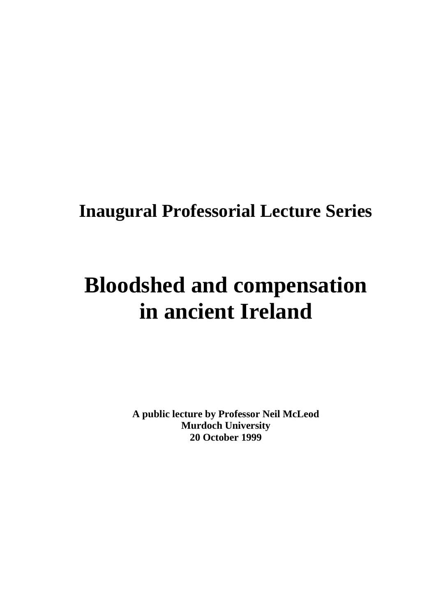# **Inaugural Professorial Lecture Series**

# **Bloodshed and compensation in ancient Ireland**

**A public lecture by Professor Neil McLeod Murdoch University 20 October 1999**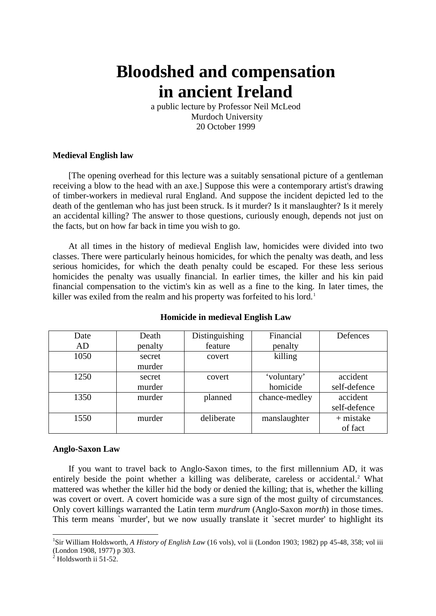# **Bloodshed and compensation in ancient Ireland**

a public lecture by Professor Neil McLeod Murdoch University 20 October 1999

# **Medieval English law**

[The opening overhead for this lecture was a suitably sensational picture of a gentleman receiving a blow to the head with an axe.] Suppose this were a contemporary artist's drawing of timber-workers in medieval rural England. And suppose the incident depicted led to the death of the gentleman who has just been struck. Is it murder? Is it manslaughter? Is it merely an accidental killing? The answer to those questions, curiously enough, depends not just on the facts, but on how far back in time you wish to go.

At all times in the history of medieval English law, homicides were divided into two classes. There were particularly heinous homicides, for which the penalty was death, and less serious homicides, for which the death penalty could be escaped. For these less serious homicides the penalty was usually financial. In earlier times, the killer and his kin paid financial compensation to the victim's kin as well as a fine to the king. In later times, the killer was exiled from the realm and his property was forfeited to his lord.<sup>[1](#page-1-0)</sup>

| Date | Death   | Distinguishing | Financial     | Defences     |
|------|---------|----------------|---------------|--------------|
| AD   | penalty | feature        | penalty       |              |
| 1050 | secret  | covert         | killing       |              |
|      | murder  |                |               |              |
| 1250 | secret  | covert         | 'voluntary'   | accident     |
|      | murder  |                | homicide      | self-defence |
| 1350 | murder  | planned        | chance-medley | accident     |
|      |         |                |               | self-defence |
| 1550 | murder  | deliberate     | manslaughter  | $+$ mistake  |
|      |         |                |               | of fact      |

# **Homicide in medieval English Law**

# **Anglo-Saxon Law**

If you want to travel back to Anglo-Saxon times, to the first millennium AD, it was entirely beside the point whether a killing was deliberate, careless or accidental.<sup>[2](#page-1-1)</sup> What mattered was whether the killer hid the body or denied the killing; that is, whether the killing was covert or overt. A covert homicide was a sure sign of the most guilty of circumstances. Only covert killings warranted the Latin term *murdrum* (Anglo-Saxon *morth*) in those times. This term means `murder', but we now usually translate it `secret murder' to highlight its

<span id="page-1-0"></span> <sup>1</sup> Sir William Holdsworth, *A History of English Law* (16 vols), vol ii (London 1903; 1982) pp 45-48, 358; vol iii (London 1908, 1977) p 303.

<span id="page-1-1"></span>Holdsworth ii 51-52.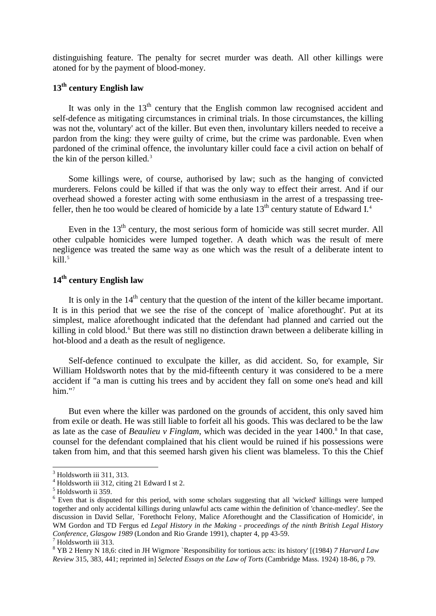distinguishing feature. The penalty for secret murder was death. All other killings were atoned for by the payment of blood-money.

# **13th century English law**

It was only in the  $13<sup>th</sup>$  century that the English common law recognised accident and self-defence as mitigating circumstances in criminal trials. In those circumstances, the killing was not the, voluntary' act of the killer. But even then, involuntary killers needed to receive a pardon from the king: they were guilty of crime, but the crime was pardonable. Even when pardoned of the criminal offence, the involuntary killer could face a civil action on behalf of the kin of the person killed.<sup>[3](#page-2-0)</sup>

Some killings were, of course, authorised by law; such as the hanging of convicted murderers. Felons could be killed if that was the only way to effect their arrest. And if our overhead showed a forester acting with some enthusiasm in the arrest of a trespassing treefeller, then he too would be cleared of homicide by a late  $13<sup>th</sup>$  century statute of Edward I.<sup>[4](#page-2-1)</sup>

Even in the  $13<sup>th</sup>$  century, the most serious form of homicide was still secret murder. All other culpable homicides were lumped together. A death which was the result of mere negligence was treated the same way as one which was the result of a deliberate intent to  $k$ ill. $5$ 

# **14th century English law**

It is only in the  $14<sup>th</sup>$  century that the question of the intent of the killer became important. It is in this period that we see the rise of the concept of `malice aforethought'. Put at its simplest, malice aforethought indicated that the defendant had planned and carried out the killing in cold blood.<sup>[6](#page-2-3)</sup> But there was still no distinction drawn between a deliberate killing in hot-blood and a death as the result of negligence.

Self-defence continued to exculpate the killer, as did accident. So, for example, Sir William Holdsworth notes that by the mid-fifteenth century it was considered to be a mere accident if "a man is cutting his trees and by accident they fall on some one's head and kill him."<sup>[7](#page-2-4)</sup>

But even where the killer was pardoned on the grounds of accident, this only saved him from exile or death. He was still liable to forfeit all his goods. This was declared to be the law as late as the case of *Beaulieu v Finglam*, which was decided in the year 1400.<sup>[8](#page-2-5)</sup> In that case, counsel for the defendant complained that his client would be ruined if his possessions were taken from him, and that this seemed harsh given his client was blameless. To this the Chief

 $3$  Holdsworth iii 311, 313.

<span id="page-2-1"></span><span id="page-2-0"></span><sup>4</sup> Holdsworth iii 312, citing 21 Edward I st 2.

<span id="page-2-2"></span> $^5$  Holdsworth ii 359.

<span id="page-2-3"></span><sup>&</sup>lt;sup>6</sup> Even that is disputed for this period, with some scholars suggesting that all 'wicked' killings were lumped together and only accidental killings during unlawful acts came within the definition of 'chance-medley'. See the discussion in David Sellar, `Forethocht Felony, Malice Aforethought and the Classification of Homicide', in WM Gordon and TD Fergus ed *Legal History in the Making - proceedings of the ninth British Legal History Conference, Glasgow 1989* (London and Rio Grande 1991), chapter 4, pp 43-59.<br><sup>7</sup> Holdsworth iii 313.

<span id="page-2-5"></span><span id="page-2-4"></span><sup>8</sup> YB 2 Henry N 18,6: cited in JH Wigmore `Responsibility for tortious acts: its history' [(1984) *7 Harvard Law Review* 315, 383, 441; reprinted in] *Selected Essays on the Law of Torts* (Cambridge Mass. 1924) 18-86, p 79.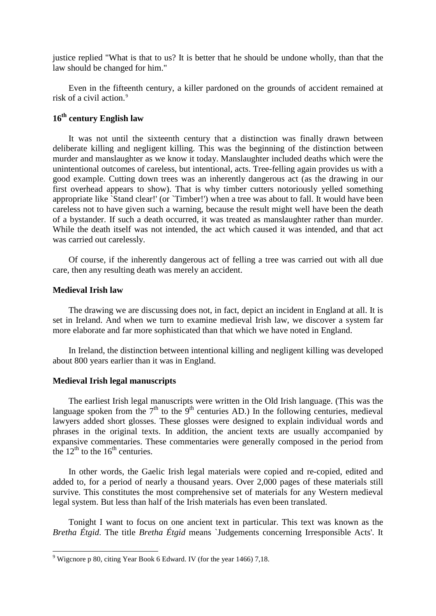justice replied "What is that to us? It is better that he should be undone wholly, than that the law should be changed for him."

Even in the fifteenth century, a killer pardoned on the grounds of accident remained at risk of a civil action.<sup>[9](#page-3-0)</sup>

# **16th century English law**

It was not until the sixteenth century that a distinction was finally drawn between deliberate killing and negligent killing. This was the beginning of the distinction between murder and manslaughter as we know it today. Manslaughter included deaths which were the unintentional outcomes of careless, but intentional, acts. Tree-felling again provides us with a good example. Cutting down trees was an inherently dangerous act (as the drawing in our first overhead appears to show). That is why timber cutters notoriously yelled something appropriate like `Stand clear!' (or `Timber!') when a tree was about to fall. It would have been careless not to have given such a warning, because the result might well have been the death of a bystander. If such a death occurred, it was treated as manslaughter rather than murder. While the death itself was not intended, the act which caused it was intended, and that act was carried out carelessly.

Of course, if the inherently dangerous act of felling a tree was carried out with all due care, then any resulting death was merely an accident.

#### **Medieval Irish law**

The drawing we are discussing does not, in fact, depict an incident in England at all. It is set in Ireland. And when we turn to examine medieval Irish law, we discover a system far more elaborate and far more sophisticated than that which we have noted in England.

In Ireland, the distinction between intentional killing and negligent killing was developed about 800 years earlier than it was in England.

#### **Medieval Irish legal manuscripts**

The earliest Irish legal manuscripts were written in the Old Irish language. (This was the language spoken from the  $7<sup>th</sup>$  to the  $9<sup>th</sup>$  centuries AD.) In the following centuries, medieval lawyers added short glosses. These glosses were designed to explain individual words and phrases in the original texts. In addition, the ancient texts are usually accompanied by expansive commentaries. These commentaries were generally composed in the period from the  $12<sup>th</sup>$  to the  $16<sup>th</sup>$  centuries.

In other words, the Gaelic Irish legal materials were copied and re-copied, edited and added to, for a period of nearly a thousand years. Over 2,000 pages of these materials still survive. This constitutes the most comprehensive set of materials for any Western medieval legal system. But less than half of the Irish materials has even been translated.

Tonight I want to focus on one ancient text in particular. This text was known as the *Bretha Étgid*. The title *Bretha Étgid* means `Judgements concerning Irresponsible Acts'. It

<span id="page-3-0"></span> <sup>9</sup> Wigcnore p 80, citing Year Book 6 Edward. IV (for the year 1466) 7,18.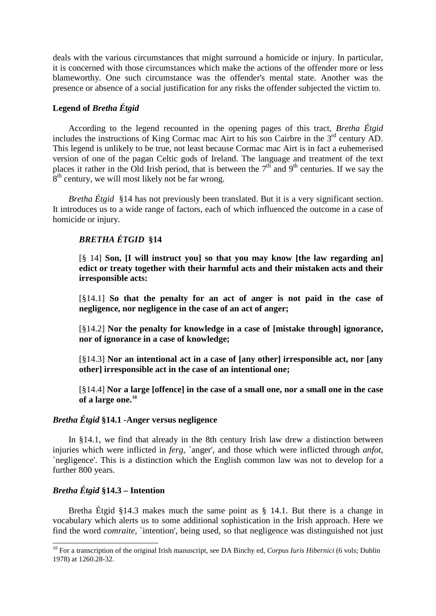deals with the various circumstances that might surround a homicide or injury. In particular, it is concerned with those circumstances which make the actions of the offender more or less blameworthy. One such circumstance was the offender's mental state. Another was the presence or absence of a social justification for any risks the offender subjected the victim to.

# **Legend of** *Bretha Étgid*

According to the legend recounted in the opening pages of this tract, *Bretha Étgid* includes the instructions of King Cormac mac Airt to his son Cairbre in the 3<sup>rd</sup> century AD. This legend is unlikely to be true, not least because Cormac mac Airt is in fact a euhemerised version of one of the pagan Celtic gods of Ireland. The language and treatment of the text places it rather in the Old Irish period, that is between the  $7<sup>th</sup>$  and 9<sup>th</sup> centuries. If we say the 8<sup>th</sup> century, we will most likely not be far wrong.

*Bretha Étgid* §14 has not previously been translated. But it is a very significant section. It introduces us to a wide range of factors, each of which influenced the outcome in a case of homicide or injury.

# *BRETHA ÉTGID* **§14**

[§ 14] **Son, [I will instruct you] so that you may know [the law regarding an] edict or treaty together with their harmful acts and their mistaken acts and their irresponsible acts:**

[§14.1] **So that the penalty for an act of anger is not paid in the case of negligence, nor negligence in the case of an act of anger;**

[§14.2] **Nor the penalty for knowledge in a case of [mistake through] ignorance, nor of ignorance in a case of knowledge;**

[§14.3] **Nor an intentional act in a case of [any other] irresponsible act, nor [any other] irresponsible act in the case of an intentional one;**

[§14.4] **Nor a large [offence] in the case of a small one, nor a small one in the case of a large one.[10](#page-4-0)**

#### *Bretha Étgid* **§14.1 -Anger versus negligence**

In §14.1, we find that already in the 8th century Irish law drew a distinction between injuries which were inflicted in *ferg*, `anger', and those which were inflicted through *anfot*, `negligence'. This is a distinction which the English common law was not to develop for a further 800 years.

# *Bretha Étgid* **§14.3 – Intention**

Bretha Étgid §14.3 makes much the same point as § 14.1. But there is a change in vocabulary which alerts us to some additional sophistication in the Irish approach. Here we find the word *comraite*, 'intention', being used, so that negligence was distinguished not just

<span id="page-4-0"></span><sup>&</sup>lt;sup>10</sup> For a transcription of the original Irish manuscript, see DA Binchy ed, *Corpus Iuris Hibernici* (6 vols; Dublin 1978) at 1260.28-32.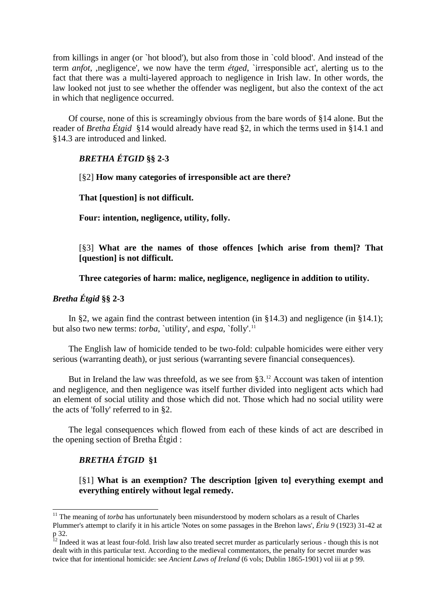from killings in anger (or `hot blood'), but also from those in `cold blood'. And instead of the term *anfot*, ,negligence', we now have the term *étged*, `irresponsible act', alerting us to the fact that there was a multi-layered approach to negligence in Irish law. In other words, the law looked not just to see whether the offender was negligent, but also the context of the act in which that negligence occurred.

Of course, none of this is screamingly obvious from the bare words of §14 alone. But the reader of *Bretha Étgid* §14 would already have read §2, in which the terms used in §14.1 and §14.3 are introduced and linked.

# *BRETHA ÉTGID* **§§ 2-3**

[§2] **How many categories of irresponsible act are there?**

**That [question] is not difficult.**

**Four: intention, negligence, utility, folly.**

[§3] **What are the names of those offences [which arise from them]? That [question] is not difficult.**

**Three categories of harm: malice, negligence, negligence in addition to utility.**

# *Bretha Étgid* **§§ 2-3**

In §2, we again find the contrast between intention (in §14.3) and negligence (in §14.1); but also two new terms: *torba*, `utility', and *espa*, `folly'.<sup>[11](#page-5-0)</sup>

The English law of homicide tended to be two-fold: culpable homicides were either very serious (warranting death), or just serious (warranting severe financial consequences).

But in Ireland the law was threefold, as we see from  $\S 3$ .<sup>[12](#page-5-1)</sup> Account was taken of intention and negligence, and then negligence was itself further divided into negligent acts which had an element of social utility and those which did not. Those which had no social utility were the acts of 'folly' referred to in §2.

The legal consequences which flowed from each of these kinds of act are described in the opening section of Bretha Étgid :

# *BRETHA ÉTGID* **§1**

[§1] **What is an exemption? The description [given to] everything exempt and everything entirely without legal remedy.**

<span id="page-5-0"></span><sup>&</sup>lt;sup>11</sup> The meaning of *torba* has unfortunately been misunderstood by modern scholars as a result of Charles Plummer's attempt to clarify it in his article 'Notes on some passages in the Brehon laws', *Ériu 9* (1923) 31-42 at p 32.

<span id="page-5-1"></span> $12$  Indeed it was at least four-fold. Irish law also treated secret murder as particularly serious - though this is not dealt with in this particular text. According to the medieval commentators, the penalty for secret murder was twice that for intentional homicide: see *Ancient Laws of Ireland* (6 vols; Dublin 1865-1901) vol iii at p 99.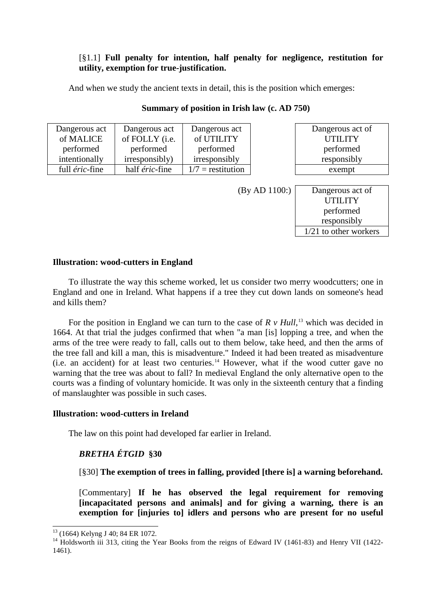# [§1.1] **Full penalty for intention, half penalty for negligence, restitution for utility, exemption for true-justification.**

And when we study the ancient texts in detail, this is the position which emerges:

| Dangerous act  | Dangerous act  | Dangerous act       |                  | Dangerous act of |
|----------------|----------------|---------------------|------------------|------------------|
| of MALICE      | of FOLLY (i.e. | of UTILITY          |                  | <b>UTILITY</b>   |
| performed      | performed      | performed           |                  | performed        |
| intentionally  | irresponsibly) | irresponsibly       | responsibly      |                  |
| full éric-fine | half éric-fine | $1/7$ = restitution |                  | exempt           |
|                |                |                     |                  |                  |
| (By AD 1100)   |                |                     | Dangerous act of |                  |
|                |                |                     |                  |                  |

performed responsibly 1/21 to other workers

# **Summary of position in Irish law (c. AD 750)**

# **Illustration: wood-cutters in England**

To illustrate the way this scheme worked, let us consider two merry woodcutters; one in England and one in Ireland. What happens if a tree they cut down lands on someone's head and kills them?

For the position in England we can turn to the case of  $R \nu$  Hull,<sup>[13](#page-6-0)</sup> which was decided in 1664. At that trial the judges confirmed that when "a man [is] lopping a tree, and when the arms of the tree were ready to fall, calls out to them below, take heed, and then the arms of the tree fall and kill a man, this is misadventure." Indeed it had been treated as misadventure  $(i.e.$  an accident) for at least two centuries.<sup>[14](#page-6-1)</sup> However, what if the wood cutter gave no warning that the tree was about to fall? In medieval England the only alternative open to the courts was a finding of voluntary homicide. It was only in the sixteenth century that a finding of manslaughter was possible in such cases.

# **Illustration: wood-cutters in Ireland**

The law on this point had developed far earlier in Ireland.

# *BRETHA ÉTGID* **§30**

[§30] **The exemption of trees in falling, provided [there is] a warning beforehand.**

[Commentary] **If he has observed the legal requirement for removing [incapacitated persons and animals] and for giving a warning, there is an exemption for [injuries to] idlers and persons who are present for no useful** 

<span id="page-6-1"></span><span id="page-6-0"></span> $^{13}$  (1664) Kelyng J 40; 84 ER 1072.<br><sup>14</sup> Holdsworth iii 313, citing the Year Books from the reigns of Edward IV (1461-83) and Henry VII (1422-1461).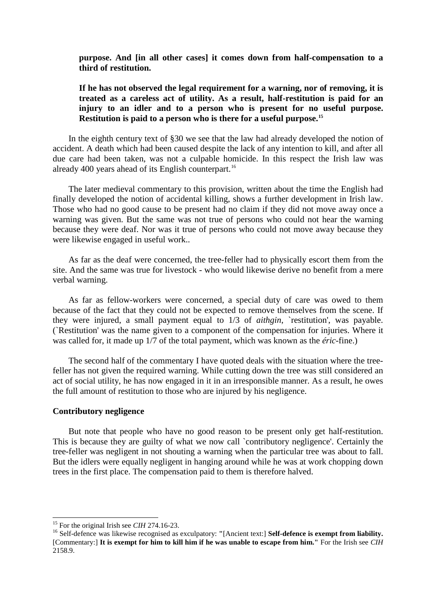#### **purpose. And [in all other cases] it comes down from half-compensation to a third of restitution.**

# **If he has not observed the legal requirement for a warning, nor of removing, it is treated as a careless act of utility. As a result, half-restitution is paid for an injury to an idler and to a person who is present for no useful purpose. Restitution is paid to a person who is there for a useful purpose.[15](#page-7-0)**

In the eighth century text of §30 we see that the law had already developed the notion of accident. A death which had been caused despite the lack of any intention to kill, and after all due care had been taken, was not a culpable homicide. In this respect the Irish law was already 400 years ahead of its English counterpart.<sup>[16](#page-7-1)</sup>

The later medieval commentary to this provision, written about the time the English had finally developed the notion of accidental killing, shows a further development in Irish law. Those who had no good cause to be present had no claim if they did not move away once a warning was given. But the same was not true of persons who could not hear the warning because they were deaf. Nor was it true of persons who could not move away because they were likewise engaged in useful work..

As far as the deaf were concerned, the tree-feller had to physically escort them from the site. And the same was true for livestock - who would likewise derive no benefit from a mere verbal warning.

As far as fellow-workers were concerned, a special duty of care was owed to them because of the fact that they could not be expected to remove themselves from the scene. If they were injured, a small payment equal to  $1/3$  of *aithgin*, `restitution', was payable. (`Restitution' was the name given to a component of the compensation for injuries. Where it was called for, it made up 1/7 of the total payment, which was known as the *éric*-fine.)

The second half of the commentary I have quoted deals with the situation where the treefeller has not given the required warning. While cutting down the tree was still considered an act of social utility, he has now engaged in it in an irresponsible manner. As a result, he owes the full amount of restitution to those who are injured by his negligence.

#### **Contributory negligence**

But note that people who have no good reason to be present only get half-restitution. This is because they are guilty of what we now call `contributory negligence'. Certainly the tree-feller was negligent in not shouting a warning when the particular tree was about to fall. But the idlers were equally negligent in hanging around while he was at work chopping down trees in the first place. The compensation paid to them is therefore halved.

<span id="page-7-1"></span><span id="page-7-0"></span><sup>&</sup>lt;sup>15</sup> For the original Irish see *CIH* 274.16-23.<br><sup>16</sup> Self-defence was likewise recognised as exculpatory: "[Ancient text:] **Self-defence is exempt from liability.** [Commentary:] **It is exempt for him to kill him if he was unable to escape from him."** For the Irish see *CIH* 2158.9.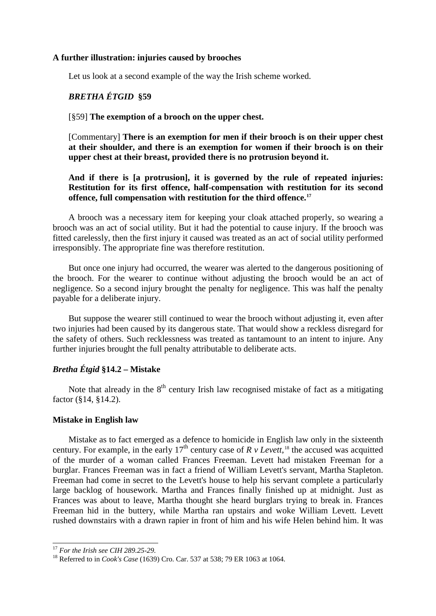#### **A further illustration: injuries caused by brooches**

Let us look at a second example of the way the Irish scheme worked.

#### *BRETHA ÉTGID* **§59**

#### [§59] **The exemption of a brooch on the upper chest.**

[Commentary] **There is an exemption for men if their brooch is on their upper chest at their shoulder, and there is an exemption for women if their brooch is on their upper chest at their breast, provided there is no protrusion beyond it.**

# **And if there is [a protrusion], it is governed by the rule of repeated injuries: Restitution for its first offence, half-compensation with restitution for its second offence, full compensation with restitution for the third offence.[17](#page-8-0)**

A brooch was a necessary item for keeping your cloak attached properly, so wearing a brooch was an act of social utility. But it had the potential to cause injury. If the brooch was fitted carelessly, then the first injury it caused was treated as an act of social utility performed irresponsibly. The appropriate fine was therefore restitution.

But once one injury had occurred, the wearer was alerted to the dangerous positioning of the brooch. For the wearer to continue without adjusting the brooch would be an act of negligence. So a second injury brought the penalty for negligence. This was half the penalty payable for a deliberate injury.

But suppose the wearer still continued to wear the brooch without adjusting it, even after two injuries had been caused by its dangerous state. That would show a reckless disregard for the safety of others. Such recklessness was treated as tantamount to an intent to injure. Any further injuries brought the full penalty attributable to deliberate acts.

# *Bretha Étgid* **§14.2 – Mistake**

Note that already in the  $8<sup>th</sup>$  century Irish law recognised mistake of fact as a mitigating factor (§14, §14.2).

#### **Mistake in English law**

Mistake as to fact emerged as a defence to homicide in English law only in the sixteenth century. For example, in the early  $17<sup>th</sup>$  century case of *R v Levett*,<sup>[18](#page-8-1)</sup> the accused was acquitted of the murder of a woman called Frances Freeman. Levett had mistaken Freeman for a burglar. Frances Freeman was in fact a friend of William Levett's servant, Martha Stapleton. Freeman had come in secret to the Levett's house to help his servant complete a particularly large backlog of housework. Martha and Frances finally finished up at midnight. Just as Frances was about to leave, Martha thought she heard burglars trying to break in. Frances Freeman hid in the buttery, while Martha ran upstairs and woke William Levett. Levett rushed downstairs with a drawn rapier in front of him and his wife Helen behind him. It was

 <sup>17</sup> *For the Irish see CIH 289.25-29.*

<span id="page-8-1"></span><span id="page-8-0"></span><sup>18</sup> Referred to in *Cook's Case* (1639) Cro. Car. 537 at 538; 79 ER 1063 at 1064.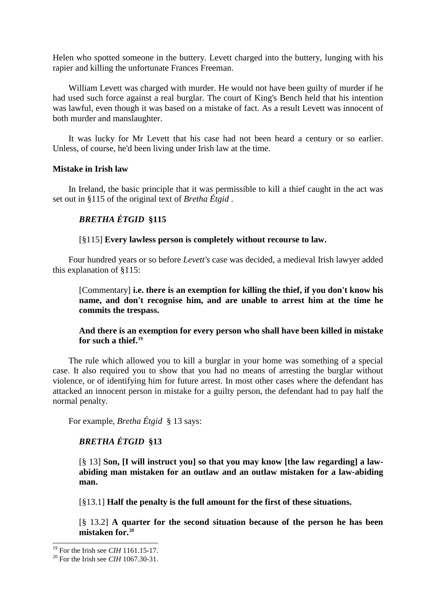Helen who spotted someone in the buttery. Levett charged into the buttery, lunging with his rapier and killing the unfortunate Frances Freeman.

William Levett was charged with murder. He would not have been guilty of murder if he had used such force against a real burglar. The court of King's Bench held that his intention was lawful, even though it was based on a mistake of fact. As a result Levett was innocent of both murder and manslaughter.

It was lucky for Mr Levett that his case had not been heard a century or so earlier. Unless, of course, he'd been living under Irish law at the time.

#### **Mistake in Irish law**

In Ireland, the basic principle that it was permissible to kill a thief caught in the act was set out in §115 of the original text of *Bretha Étgid* .

# *BRETHA ÉTGID* **§115**

#### [§115] **Every lawless person is completely without recourse to law.**

Four hundred years or so before *Levett's* case was decided, a medieval Irish lawyer added this explanation of §115:

[Commentary] **i.e. there is an exemption for killing the thief, if you don't know his name, and don't recognise him, and are unable to arrest him at the time he commits the trespass.**

# **And there is an exemption for every person who shall have been killed in mistake for such a thief.[19](#page-9-0)**

The rule which allowed you to kill a burglar in your home was something of a special case. It also required you to show that you had no means of arresting the burglar without violence, or of identifying him for future arrest. In most other cases where the defendant has attacked an innocent person in mistake for a guilty person, the defendant had to pay half the normal penalty.

For example, *Bretha Étgid* § 13 says:

# *BRETHA ÉTGID* **§13**

[§ 13] **Son, [I will instruct you] so that you may know [the law regarding] a lawabiding man mistaken for an outlaw and an outlaw mistaken for a law-abiding man.**

[§13.1] **Half the penalty is the full amount for the first of these situations.**

[§ 13.2] **A quarter for the second situation because of the person he has been mistaken for.[20](#page-9-1)**

<span id="page-9-1"></span><span id="page-9-0"></span><sup>&</sup>lt;sup>19</sup> For the Irish see *CIH* 1161.15-17.<br><sup>20</sup> For the Irish see *CIH* 1067.30-31.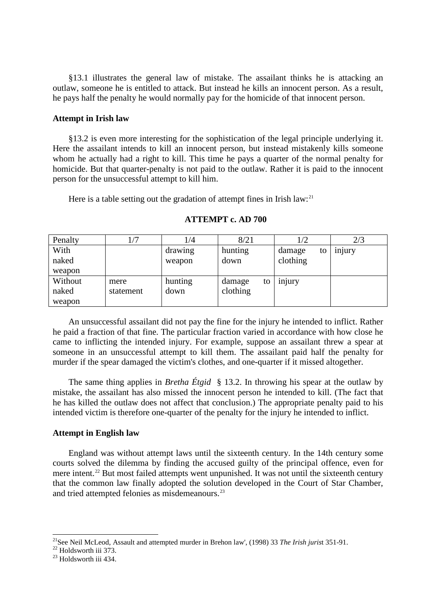§13.1 illustrates the general law of mistake. The assailant thinks he is attacking an outlaw, someone he is entitled to attack. But instead he kills an innocent person. As a result, he pays half the penalty he would normally pay for the homicide of that innocent person.

#### **Attempt in Irish law**

§13.2 is even more interesting for the sophistication of the legal principle underlying it. Here the assailant intends to kill an innocent person, but instead mistakenly kills someone whom he actually had a right to kill. This time he pays a quarter of the normal penalty for homicide. But that quarter-penalty is not paid to the outlaw. Rather it is paid to the innocent person for the unsuccessful attempt to kill him.

Here is a table setting out the gradation of attempt fines in Irish law:<sup>[21](#page-10-0)</sup>

| Penalty |           | 1/4     | 8/21         | 1/2          | 2/3                 |
|---------|-----------|---------|--------------|--------------|---------------------|
| With    |           | drawing | hunting      | damage<br>to | 1n <sub>1</sub> ury |
| naked   |           | weapon  | down         | clothing     |                     |
| weapon  |           |         |              |              |                     |
| Without | mere      | hunting | damage<br>to | injury       |                     |
| naked   | statement | down    | clothing     |              |                     |
| weapon  |           |         |              |              |                     |

#### **ATTEMPT c. AD 700**

An unsuccessful assailant did not pay the fine for the injury he intended to inflict. Rather he paid a fraction of that fine. The particular fraction varied in accordance with how close he came to inflicting the intended injury. For example, suppose an assailant threw a spear at someone in an unsuccessful attempt to kill them. The assailant paid half the penalty for murder if the spear damaged the victim's clothes, and one-quarter if it missed altogether.

The same thing applies in *Bretha Étgid* § 13.2. In throwing his spear at the outlaw by mistake, the assailant has also missed the innocent person he intended to kill. (The fact that he has killed the outlaw does not affect that conclusion.) The appropriate penalty paid to his intended victim is therefore one-quarter of the penalty for the injury he intended to inflict.

# **Attempt in English law**

England was without attempt laws until the sixteenth century. In the 14th century some courts solved the dilemma by finding the accused guilty of the principal offence, even for mere intent.<sup>[22](#page-10-1)</sup> But most failed attempts went unpunished. It was not until the sixteenth century that the common law finally adopted the solution developed in the Court of Star Chamber, and tried attempted felonies as misdemeanours.<sup>[23](#page-10-2)</sup>

<span id="page-10-1"></span><span id="page-10-0"></span><sup>&</sup>lt;sup>21</sup>See Neil McLeod, Assault and attempted murder in Brehon law', (1998) 33 *The Irish jurist* 351-91.<br><sup>22</sup> Holdsworth iii 373.<br><sup>23</sup> Holdsworth iii 434.

<span id="page-10-2"></span>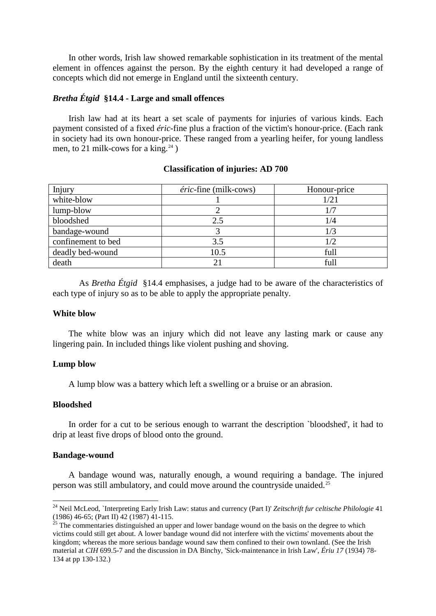In other words, Irish law showed remarkable sophistication in its treatment of the mental element in offences against the person. By the eighth century it had developed a range of concepts which did not emerge in England until the sixteenth century.

# *Bretha Étgid* **§14.4 - Large and small offences**

Irish law had at its heart a set scale of payments for injuries of various kinds. Each payment consisted of a fixed *éric*-fine plus a fraction of the victim's honour-price. (Each rank in society had its own honour-price. These ranged from a yearling heifer, for young landless men, to 21 milk-cows for a king.<sup>[24](#page-11-0)</sup>)

#### **Classification of injuries: AD 700**

| Injury             | éric-fine (milk-cows) | Honour-price |
|--------------------|-----------------------|--------------|
| white-blow         |                       | 1/21         |
| lump-blow          |                       |              |
| bloodshed          | 2.5                   | 1/4          |
| bandage-wound      |                       | 1/3          |
| confinement to bed | 3.5                   | 1/2          |
| deadly bed-wound   | 10.5                  | full         |
| death              |                       | full         |

As *Bretha Étgid* §14.4 emphasises, a judge had to be aware of the characteristics of each type of injury so as to be able to apply the appropriate penalty.

#### **White blow**

The white blow was an injury which did not leave any lasting mark or cause any lingering pain. In included things like violent pushing and shoving.

## **Lump blow**

A lump blow was a battery which left a swelling or a bruise or an abrasion.

#### **Bloodshed**

In order for a cut to be serious enough to warrant the description `bloodshed', it had to drip at least five drops of blood onto the ground.

#### **Bandage-wound**

A bandage wound was, naturally enough, a wound requiring a bandage. The injured person was still ambulatory, and could move around the countryside unaided.[25](#page-11-1)

<span id="page-11-0"></span> <sup>24</sup> Neil McLeod, `Interpreting Early Irish Law: status and currency (Part I)' *Zeitschrift fur celtische Philologie* <sup>41</sup> (1986) 46-65; (Part II) 42 (1987) 41-115.<br><sup>25</sup> The commentaries distinguished an upper and lower bandage wound on the basis on the degree to which

<span id="page-11-1"></span>victims could still get about. A lower bandage wound did not interfere with the victims' movements about the kingdom; whereas the more serious bandage wound saw them confined to their own townland. (See the Irish material at *CIH* 699.5-7 and the discussion in DA Binchy, 'Sick-maintenance in Irish Law', *Ériu 17* (1934) 78- 134 at pp 130-132.)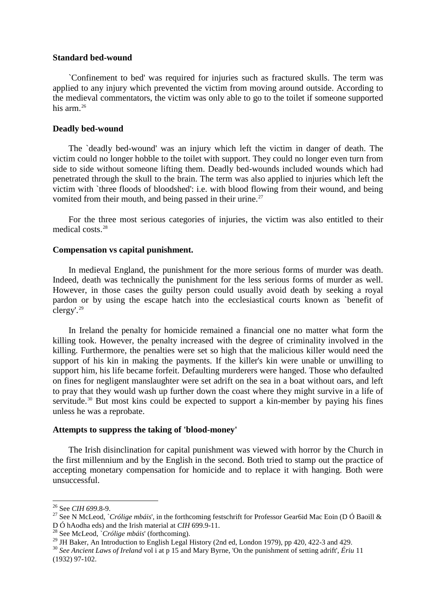#### **Standard bed-wound**

`Confinement to bed' was required for injuries such as fractured skulls. The term was applied to any injury which prevented the victim from moving around outside. According to the medieval commentators, the victim was only able to go to the toilet if someone supported his arm.<sup>[26](#page-12-0)</sup>

#### **Deadly bed-wound**

The `deadly bed-wound' was an injury which left the victim in danger of death. The victim could no longer hobble to the toilet with support. They could no longer even turn from side to side without someone lifting them. Deadly bed-wounds included wounds which had penetrated through the skull to the brain. The term was also applied to injuries which left the victim with `three floods of bloodshed': i.e. with blood flowing from their wound, and being vomited from their mouth, and being passed in their urine.<sup>[27](#page-12-1)</sup>

For the three most serious categories of injuries, the victim was also entitled to their medical costs<sup>[28](#page-12-2)</sup>

#### **Compensation vs capital punishment.**

In medieval England, the punishment for the more serious forms of murder was death. Indeed, death was technically the punishment for the less serious forms of murder as well. However, in those cases the guilty person could usually avoid death by seeking a royal pardon or by using the escape hatch into the ecclesiastical courts known as `benefit of clergy'.[29](#page-12-3)

In Ireland the penalty for homicide remained a financial one no matter what form the killing took. However, the penalty increased with the degree of criminality involved in the killing. Furthermore, the penalties were set so high that the malicious killer would need the support of his kin in making the payments. If the killer's kin were unable or unwilling to support him, his life became forfeit. Defaulting murderers were hanged. Those who defaulted on fines for negligent manslaughter were set adrift on the sea in a boat without oars, and left to pray that they would wash up further down the coast where they might survive in a life of servitude.<sup>[30](#page-12-4)</sup> But most kins could be expected to support a kin-member by paying his fines unless he was a reprobate.

#### **Attempts to suppress the taking of 'blood-money'**

The Irish disinclination for capital punishment was viewed with horror by the Church in the first millennium and by the English in the second. Both tried to stamp out the practice of accepting monetary compensation for homicide and to replace it with hanging. Both were unsuccessful.

<span id="page-12-1"></span><span id="page-12-0"></span><sup>&</sup>lt;sup>26</sup> See *CIH 699.8-9.*<br><sup>27</sup> See N McLeod, `*Crólige mbáis*', in the forthcoming festschrift for Professor Gear6id Mac Eoin (D Ó Baoill & D Ó hAodha eds) and the Irish material at *CIH* 699.9-11.

<span id="page-12-2"></span><sup>&</sup>lt;sup>28</sup> See McLeod, `*Crólige mbáis*' (forthcoming).<br><sup>29</sup> JH Baker, An Introduction to English Legal History (2nd ed, London 1979), pp 420, 422-3 and 429.

<span id="page-12-4"></span><span id="page-12-3"></span><sup>&</sup>lt;sup>30</sup> See Ancient Laws of Ireland vol i at p 15 and Mary Byrne, 'On the punishment of setting adrift', Ériu 11 (1932) 97-102.